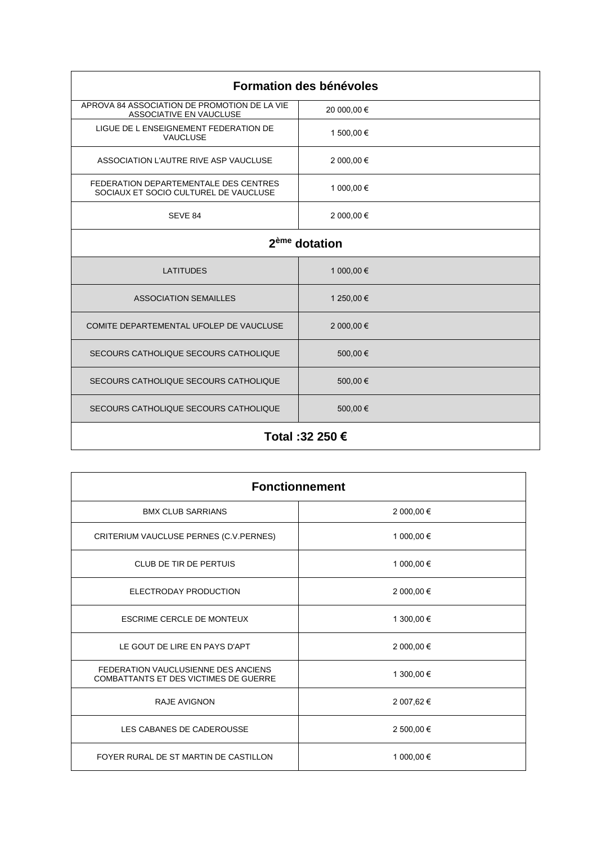| Formation des bénévoles                                                        |             |  |
|--------------------------------------------------------------------------------|-------------|--|
| APROVA 84 ASSOCIATION DE PROMOTION DE LA VIE<br>ASSOCIATIVE EN VAUCLUSE        | 20 000,00 € |  |
| LIGUE DE L ENSEIGNEMENT FEDERATION DE<br><b>VAUCLUSE</b>                       | 1 500,00 €  |  |
| ASSOCIATION L'AUTRE RIVE ASP VAUCLUSE                                          | 2 000,00 €  |  |
| FEDERATION DEPARTEMENTALE DES CENTRES<br>SOCIAUX ET SOCIO CULTUREL DE VAUCLUSE | 1 000,00 €  |  |
| SEVE 84                                                                        | 2 000,00 €  |  |
| 2 <sup>ème</sup> dotation                                                      |             |  |
| <b>LATITUDES</b>                                                               | 1 000,00 €  |  |
| <b>ASSOCIATION SEMAILLES</b>                                                   | 1 250,00 €  |  |
| COMITE DEPARTEMENTAL UFOLEP DE VAUCLUSE                                        | 2 000,00 €  |  |
| SECOURS CATHOLIQUE SECOURS CATHOLIQUE                                          | 500,00€     |  |
| SECOURS CATHOLIQUE SECOURS CATHOLIQUE                                          | 500,00€     |  |
| SECOURS CATHOLIQUE SECOURS CATHOLIQUE                                          | 500,00€     |  |
| Total :32 250 €                                                                |             |  |

| <b>Fonctionnement</b>                                                        |            |
|------------------------------------------------------------------------------|------------|
| <b>BMX CLUB SARRIANS</b>                                                     | 2 000,00 € |
| CRITERIUM VAUCLUSE PERNES (C.V.PERNES)                                       | 1 000,00 € |
| <b>CLUB DE TIR DE PERTUIS</b>                                                | 1 000,00 € |
| ELECTRODAY PRODUCTION                                                        | 2 000,00 € |
| <b>ESCRIME CERCLE DE MONTEUX</b>                                             | 1 300,00 € |
| LE GOUT DE LIRE EN PAYS D'APT                                                | 2 000,00 € |
| FEDERATION VAUCLUSIENNE DES ANCIENS<br>COMBATTANTS ET DES VICTIMES DE GUERRE | 1 300,00 € |
| <b>RAJE AVIGNON</b>                                                          | 2 007,62 € |
| LES CABANES DE CADEROUSSE                                                    | 2 500,00 € |
| FOYER RURAL DE ST MARTIN DE CASTILLON                                        | 1 000,00 € |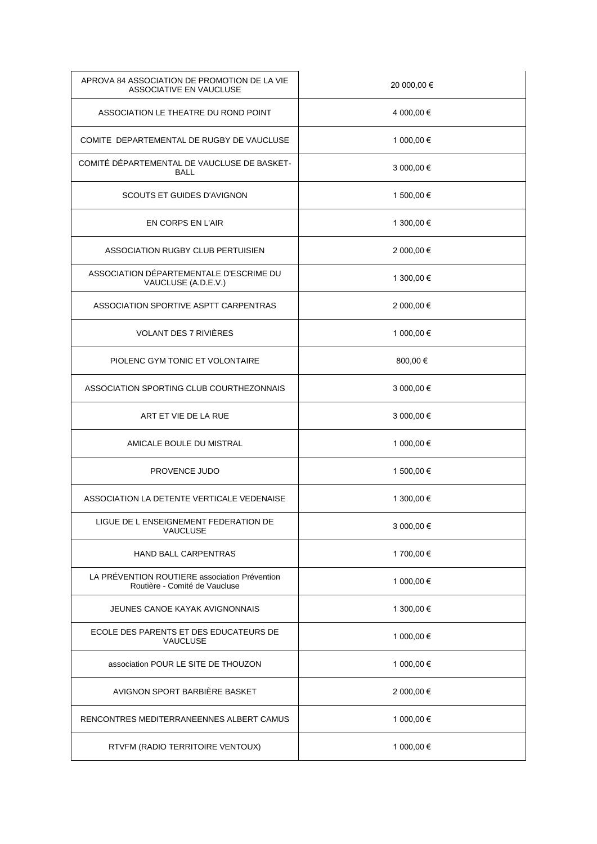| APROVA 84 ASSOCIATION DE PROMOTION DE LA VIE<br>ASSOCIATIVE EN VAUCLUSE        | 20 000,00 € |
|--------------------------------------------------------------------------------|-------------|
| ASSOCIATION LE THEATRE DU ROND POINT                                           | 4 000,00 €  |
| COMITE DEPARTEMENTAL DE RUGBY DE VAUCLUSE                                      | 1 000,00 €  |
| COMITÉ DÉPARTEMENTAL DE VAUCLUSE DE BASKET-<br><b>BALL</b>                     | 3 000,00 €  |
| SCOUTS ET GUIDES D'AVIGNON                                                     | 1 500,00 €  |
| EN CORPS EN L'AIR                                                              | 1 300,00 €  |
| ASSOCIATION RUGBY CLUB PERTUISIEN                                              | 2 000,00 €  |
| ASSOCIATION DÉPARTEMENTALE D'ESCRIME DU<br>VAUCLUSE (A.D.E.V.)                 | 1 300,00 €  |
| ASSOCIATION SPORTIVE ASPTT CARPENTRAS                                          | 2 000,00 €  |
| VOLANT DES 7 RIVIÈRES                                                          | 1 000,00 €  |
| PIOLENC GYM TONIC ET VOLONTAIRE                                                | 800,00€     |
| ASSOCIATION SPORTING CLUB COURTHEZONNAIS                                       | 3 000,00 €  |
| ART ET VIE DE LA RUE                                                           | 3 000,00 €  |
| AMICALE BOULE DU MISTRAL                                                       | 1 000,00 €  |
| PROVENCE JUDO                                                                  | 1 500,00 €  |
| ASSOCIATION LA DETENTE VERTICALE VEDENAISE                                     | 1 300,00 €  |
| LIGUE DE L ENSEIGNEMENT FEDERATION DE<br><b>VAUCLUSE</b>                       | 3 000,00 €  |
| HAND BALL CARPENTRAS                                                           | 1 700,00 €  |
| LA PRÉVENTION ROUTIERE association Prévention<br>Routière - Comité de Vaucluse | 1 000,00 €  |
| JEUNES CANOE KAYAK AVIGNONNAIS                                                 | 1 300,00 €  |
| ECOLE DES PARENTS ET DES EDUCATEURS DE<br>VAUCLUSE                             | 1 000,00 €  |
| association POUR LE SITE DE THOUZON                                            | 1 000,00 €  |
| AVIGNON SPORT BARBIËRE BASKET                                                  | 2 000,00 €  |
| RENCONTRES MEDITERRANEENNES ALBERT CAMUS                                       | 1 000,00 €  |
| RTVFM (RADIO TERRITOIRE VENTOUX)                                               | 1 000,00 €  |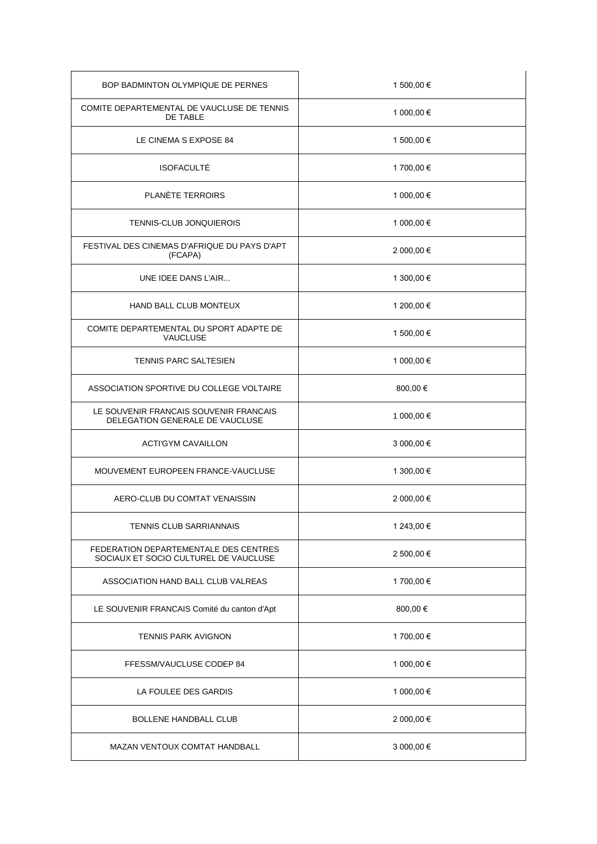| BOP BADMINTON OLYMPIQUE DE PERNES                                              | 1 500,00 € |
|--------------------------------------------------------------------------------|------------|
| COMITE DEPARTEMENTAL DE VAUCLUSE DE TENNIS<br><b>DE TABLE</b>                  | 1 000,00 € |
| LE CINEMA S EXPOSE 84                                                          | 1 500,00 € |
| <b>ISOFACULTÉ</b>                                                              | 1 700,00 € |
| PLANÈTE TERROIRS                                                               | 1 000,00 € |
| <b>TENNIS-CLUB JONQUIEROIS</b>                                                 | 1 000,00 € |
| FESTIVAL DES CINEMAS D'AFRIQUE DU PAYS D'APT<br>(FCAPA)                        | 2 000,00 € |
| UNE IDEE DANS L'AIR                                                            | 1 300,00 € |
| <b>HAND BALL CLUB MONTEUX</b>                                                  | 1 200,00 € |
| COMITE DEPARTEMENTAL DU SPORT ADAPTE DE<br><b>VAUCLUSE</b>                     | 1 500,00 € |
| <b>TENNIS PARC SALTESIEN</b>                                                   | 1 000,00 € |
| ASSOCIATION SPORTIVE DU COLLEGE VOLTAIRE                                       | 800,00€    |
| LE SOUVENIR FRANCAIS SOUVENIR FRANCAIS<br>DELEGATION GENERALE DE VAUCLUSE      | 1 000,00 € |
| <b>ACTI'GYM CAVAILLON</b>                                                      | 3 000,00 € |
| MOUVEMENT EUROPEEN FRANCE-VAUCLUSE                                             | 1 300,00 € |
| AERO-CLUB DU COMTAT VENAISSIN                                                  | 2 000,00 € |
| TENNIS CLUB SARRIANNAIS                                                        | 1 243,00 € |
| FEDERATION DEPARTEMENTALE DES CENTRES<br>SOCIAUX ET SOCIO CULTUREL DE VAUCLUSE | 2 500,00 € |
| ASSOCIATION HAND BALL CLUB VALREAS                                             | 1 700,00 € |
| LE SOUVENIR FRANCAIS Comité du canton d'Apt                                    | 800,00€    |
| <b>TENNIS PARK AVIGNON</b>                                                     | 1 700,00 € |
| FFESSM/VAUCLUSE CODEP 84                                                       | 1 000,00 € |
| LA FOULEE DES GARDIS                                                           | 1 000,00 € |
| <b>BOLLENE HANDBALL CLUB</b>                                                   | 2 000,00 € |
| MAZAN VENTOUX COMTAT HANDBALL                                                  | 3 000,00 € |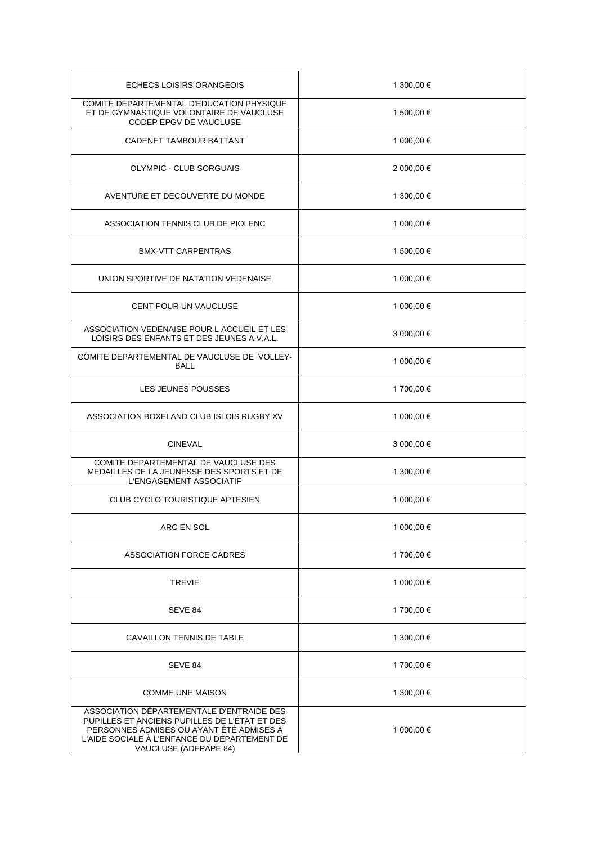| <b>ECHECS LOISIRS ORANGEOIS</b>                                                                                                                                                                                 | 1 300,00 € |
|-----------------------------------------------------------------------------------------------------------------------------------------------------------------------------------------------------------------|------------|
| COMITE DEPARTEMENTAL D'EDUCATION PHYSIQUE<br>ET DE GYMNASTIQUE VOLONTAIRE DE VAUCLUSE<br>CODEP EPGV DE VAUCLUSE                                                                                                 | 1 500,00 € |
| CADENET TAMBOUR BATTANT                                                                                                                                                                                         | 1 000,00 € |
| OLYMPIC - CLUB SORGUAIS                                                                                                                                                                                         | 2 000,00 € |
| AVENTURE ET DECOUVERTE DU MONDE                                                                                                                                                                                 | 1 300,00 € |
| ASSOCIATION TENNIS CLUB DE PIOLENC                                                                                                                                                                              | 1 000,00 € |
| <b>BMX-VTT CARPENTRAS</b>                                                                                                                                                                                       | 1 500,00 € |
| UNION SPORTIVE DE NATATION VEDENAISE                                                                                                                                                                            | 1 000,00 € |
| <b>CENT POUR UN VAUCLUSE</b>                                                                                                                                                                                    | 1 000,00 € |
| ASSOCIATION VEDENAISE POUR L ACCUEIL ET LES<br>LOISIRS DES ENFANTS ET DES JEUNES A.V.A.L.                                                                                                                       | 3 000,00 € |
| COMITE DEPARTEMENTAL DE VAUCLUSE DE VOLLEY-<br><b>BALL</b>                                                                                                                                                      | 1 000,00 € |
| LES JEUNES POUSSES                                                                                                                                                                                              | 1700,00€   |
| ASSOCIATION BOXELAND CLUB ISLOIS RUGBY XV                                                                                                                                                                       | 1 000,00 € |
| <b>CINEVAL</b>                                                                                                                                                                                                  | 3 000,00 € |
| COMITE DEPARTEMENTAL DE VAUCLUSE DES<br>MEDAILLES DE LA JEUNESSE DES SPORTS ET DE<br>L'ENGAGEMENT ASSOCIATIF                                                                                                    | 1 300,00 € |
| <b>CLUB CYCLO TOURISTIQUE APTESIEN</b>                                                                                                                                                                          | 1 000,00 € |
| ARC EN SOL                                                                                                                                                                                                      | 1 000,00 € |
| ASSOCIATION FORCE CADRES                                                                                                                                                                                        | 1 700,00 € |
| <b>TREVIE</b>                                                                                                                                                                                                   | 1 000,00 € |
| SEVE 84                                                                                                                                                                                                         | 1 700,00 € |
| CAVAILLON TENNIS DE TABLE                                                                                                                                                                                       | 1 300,00 € |
| SEVE 84                                                                                                                                                                                                         | 1 700,00 € |
| <b>COMME UNE MAISON</b>                                                                                                                                                                                         | 1 300,00 € |
| ASSOCIATION DÉPARTEMENTALE D'ENTRAIDE DES<br>PUPILLES ET ANCIENS PUPILLES DE L'ÉTAT ET DES<br>PERSONNES ADMISES OU AYANT ÉTÉ ADMISES À<br>L'AIDE SOCIALE À L'ENFANCE DU DÉPARTEMENT DE<br>VAUCLUSE (ADEPAPE 84) | 1 000,00 € |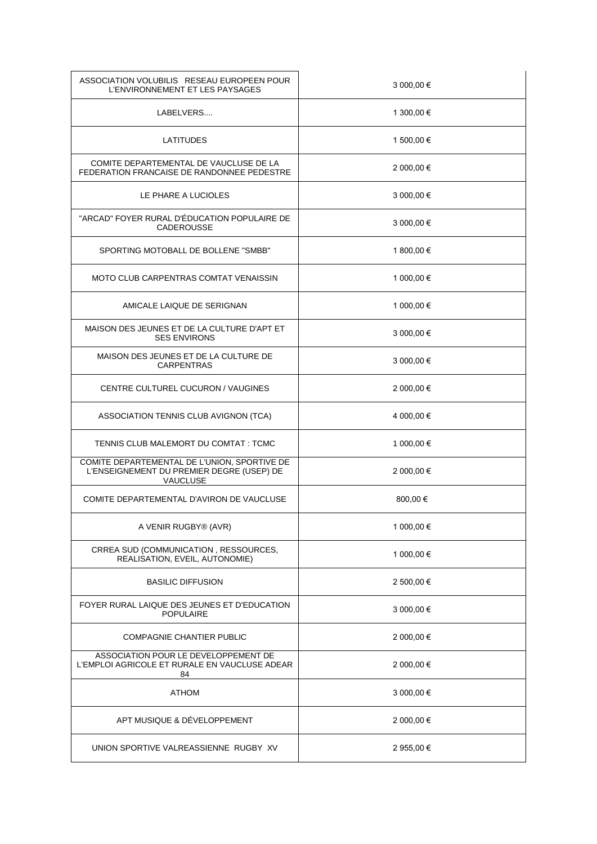| ASSOCIATION VOLUBILIS RESEAU EUROPEEN POUR<br>L'ENVIRONNEMENT ET LES PAYSAGES                                | 3 000,00 € |
|--------------------------------------------------------------------------------------------------------------|------------|
| LABELVERS                                                                                                    | 1 300,00 € |
| <b>LATITUDES</b>                                                                                             | 1 500,00 € |
| COMITE DEPARTEMENTAL DE VAUCLUSE DE LA<br>FEDERATION FRANCAISE DE RANDONNEE PEDESTRE                         | 2 000,00 € |
| LE PHARE A LUCIOLES                                                                                          | 3 000,00 € |
| "ARCAD" FOYER RURAL D'ÉDUCATION POPULAIRE DE<br>CADEROUSSE                                                   | 3 000,00 € |
| SPORTING MOTOBALL DE BOLLENE "SMBB"                                                                          | 1 800,00 € |
| MOTO CLUB CARPENTRAS COMTAT VENAISSIN                                                                        | 1 000,00 € |
| AMICALE LAIQUE DE SERIGNAN                                                                                   | 1 000,00 € |
| MAISON DES JEUNES ET DE LA CULTURE D'APT ET<br><b>SES ENVIRONS</b>                                           | 3 000,00 € |
| MAISON DES JEUNES ET DE LA CULTURE DE<br><b>CARPENTRAS</b>                                                   | 3 000,00 € |
| CENTRE CULTUREL CUCURON / VAUGINES                                                                           | 2 000,00 € |
| ASSOCIATION TENNIS CLUB AVIGNON (TCA)                                                                        | 4 000,00 € |
| TENNIS CLUB MALEMORT DU COMTAT : TCMC                                                                        | 1 000,00 € |
| COMITE DEPARTEMENTAL DE L'UNION, SPORTIVE DE<br>L'ENSEIGNEMENT DU PREMIER DEGRE (USEP) DE<br><b>VAUCLUSE</b> | 2 000,00 € |
| COMITE DEPARTEMENTAL D'AVIRON DE VAUCLUSE                                                                    | 800,00€    |
| A VENIR RUGBY® (AVR)                                                                                         | 1 000,00 € |
| CRREA SUD (COMMUNICATION, RESSOURCES,<br>REALISATION, EVEIL, AUTONOMIE)                                      | 1 000,00 € |
| <b>BASILIC DIFFUSION</b>                                                                                     | 2 500,00 € |
| FOYER RURAL LAIQUE DES JEUNES ET D'EDUCATION<br><b>POPULAIRE</b>                                             | 3 000,00 € |
| <b>COMPAGNIE CHANTIER PUBLIC</b>                                                                             | 2 000,00 € |
| ASSOCIATION POUR LE DEVELOPPEMENT DE<br>L'EMPLOI AGRICOLE ET RURALE EN VAUCLUSE ADEAR<br>84                  | 2 000,00 € |
| <b>ATHOM</b>                                                                                                 | 3 000,00 € |
| APT MUSIQUE & DÉVELOPPEMENT                                                                                  | 2 000,00 € |
| UNION SPORTIVE VALREASSIENNE RUGBY XV                                                                        | 2 955,00 € |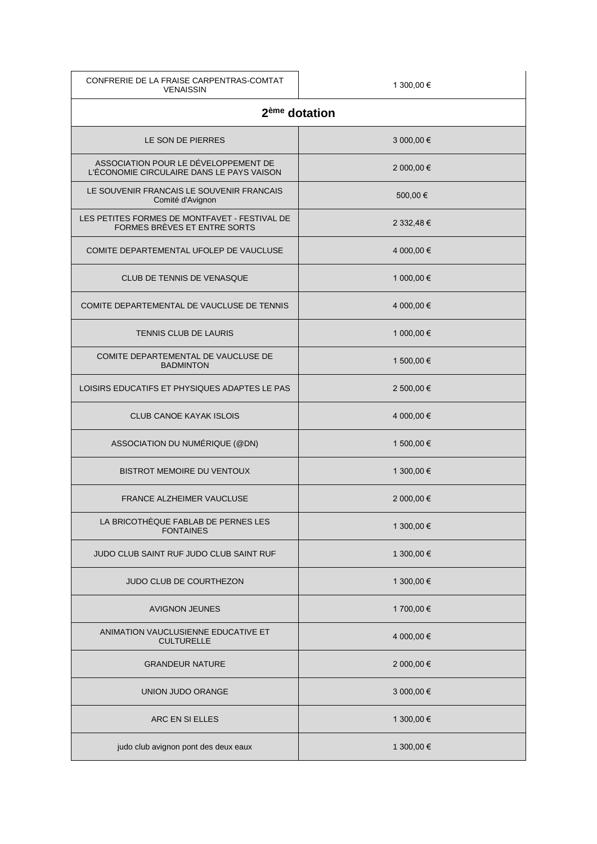| CONFRERIE DE LA FRAISE CARPENTRAS-COMTAT<br><b>VENAISSIN</b>                      | 1 300,00 €                |
|-----------------------------------------------------------------------------------|---------------------------|
|                                                                                   | 2 <sup>ème</sup> dotation |
| LE SON DE PIERRES                                                                 | 3 000,00 €                |
| ASSOCIATION POUR LE DÉVELOPPEMENT DE<br>L'ÉCONOMIE CIRCULAIRE DANS LE PAYS VAISON | 2 000,00 €                |
| LE SOUVENIR FRANCAIS LE SOUVENIR FRANCAIS<br>Comité d'Avignon                     | 500,00€                   |
| LES PETITES FORMES DE MONTFAVET - FESTIVAL DE<br>FORMES BRÈVES ET ENTRE SORTS     | 2 332,48 €                |
| COMITE DEPARTEMENTAL UFOLEP DE VAUCLUSE                                           | 4 000,00 €                |
| CLUB DE TENNIS DE VENASQUE                                                        | 1 000,00 €                |
| COMITE DEPARTEMENTAL DE VAUCLUSE DE TENNIS                                        | 4 000,00 €                |
| <b>TENNIS CLUB DE LAURIS</b>                                                      | 1 000,00 €                |
| COMITE DEPARTEMENTAL DE VAUCLUSE DE<br><b>BADMINTON</b>                           | 1 500,00 €                |
| LOISIRS EDUCATIFS ET PHYSIQUES ADAPTES LE PAS                                     | 2 500,00 €                |
| <b>CLUB CANOE KAYAK ISLOIS</b>                                                    | 4 000,00 €                |
| ASSOCIATION DU NUMÉRIQUE (@DN)                                                    | 1 500,00 €                |
| <b>BISTROT MEMOIRE DU VENTOUX</b>                                                 | 1 300,00 €                |
| <b>FRANCE ALZHEIMER VAUCLUSE</b>                                                  | 2 000,00 €                |
| LA BRICOTHÈQUE FABLAB DE PERNES LES<br><b>FONTAINES</b>                           | 1 300,00 €                |
| JUDO CLUB SAINT RUF JUDO CLUB SAINT RUF                                           | 1 300,00 €                |
| JUDO CLUB DE COURTHEZON                                                           | 1 300,00 €                |
| <b>AVIGNON JEUNES</b>                                                             | 1 700,00 €                |
| ANIMATION VAUCLUSIENNE EDUCATIVE ET<br><b>CULTURELLE</b>                          | 4 000,00 €                |
| <b>GRANDEUR NATURE</b>                                                            | 2 000,00 €                |
| UNION JUDO ORANGE                                                                 | 3 000,00 €                |
| ARC EN SI ELLES                                                                   | 1 300,00 €                |
| judo club avignon pont des deux eaux                                              | 1 300,00 €                |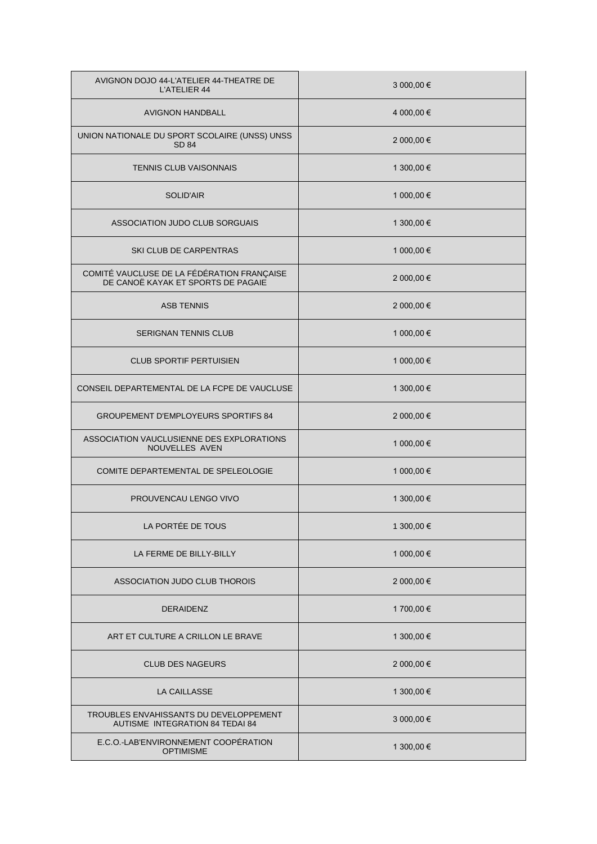| AVIGNON DOJO 44-L'ATELIER 44-THEATRE DE<br><b>L'ATELIER 44</b>                   | 3 000,00 € |
|----------------------------------------------------------------------------------|------------|
| <b>AVIGNON HANDBALL</b>                                                          | 4 000,00 € |
| UNION NATIONALE DU SPORT SCOLAIRE (UNSS) UNSS<br><b>SD 84</b>                    | 2 000,00 € |
| <b>TENNIS CLUB VAISONNAIS</b>                                                    | 1 300,00 € |
| <b>SOLID'AIR</b>                                                                 | 1 000,00 € |
| ASSOCIATION JUDO CLUB SORGUAIS                                                   | 1 300,00 € |
| <b>SKI CLUB DE CARPENTRAS</b>                                                    | 1 000,00 € |
| COMITÉ VAUCLUSE DE LA FÉDÉRATION FRANÇAISE<br>DE CANOË KAYAK ET SPORTS DE PAGAIE | 2 000,00 € |
| <b>ASB TENNIS</b>                                                                | 2 000,00 € |
| <b>SERIGNAN TENNIS CLUB</b>                                                      | 1 000,00 € |
| <b>CLUB SPORTIF PERTUISIEN</b>                                                   | 1 000,00 € |
| CONSEIL DEPARTEMENTAL DE LA FCPE DE VAUCLUSE                                     | 1 300,00 € |
| <b>GROUPEMENT D'EMPLOYEURS SPORTIFS 84</b>                                       | 2 000,00 € |
| ASSOCIATION VAUCLUSIENNE DES EXPLORATIONS<br><b>NOUVELLES AVEN</b>               | 1 000,00 € |
| COMITE DEPARTEMENTAL DE SPELEOLOGIE                                              | 1 000,00 € |
| PROUVENCAU LENGO VIVO                                                            | 1 300,00 € |
| LA PORTÉE DE TOUS                                                                | 1 300,00 € |
| LA FERME DE BILLY-BILLY                                                          | 1 000,00 € |
| ASSOCIATION JUDO CLUB THOROIS                                                    | 2 000,00 € |
| <b>DERAIDENZ</b>                                                                 | 1 700,00 € |
| ART ET CULTURE A CRILLON LE BRAVE                                                | 1 300,00 € |
| <b>CLUB DES NAGEURS</b>                                                          | 2 000,00 € |
| LA CAILLASSE                                                                     | 1 300,00 € |
| TROUBLES ENVAHISSANTS DU DEVELOPPEMENT<br>AUTISME INTEGRATION 84 TEDAI 84        | 3 000,00 € |
| E.C.O.-LAB'ENVIRONNEMENT COOPÉRATION<br><b>OPTIMISME</b>                         | 1 300,00 € |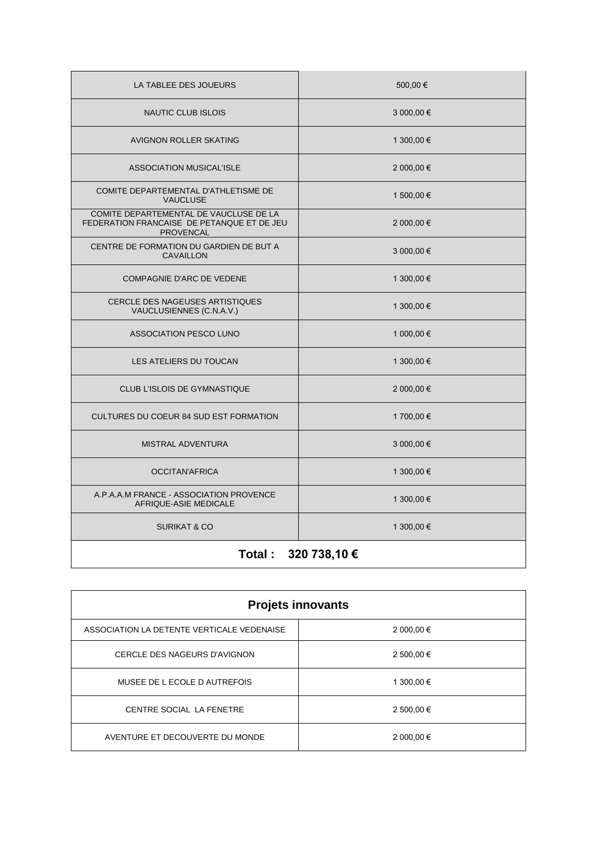| LA TABLEE DES JOUEURS                                                                                    | 500,00€    |
|----------------------------------------------------------------------------------------------------------|------------|
| <b>NAUTIC CLUB ISLOIS</b>                                                                                | 3 000,00 € |
| <b>AVIGNON ROLLER SKATING</b>                                                                            | 1 300,00 € |
| <b>ASSOCIATION MUSICAL'ISLE</b>                                                                          | 2 000,00 € |
| COMITE DEPARTEMENTAL D'ATHLETISME DE<br><b>VAUCLUSE</b>                                                  | 1 500,00 € |
| COMITE DEPARTEMENTAL DE VAUCLUSE DE LA<br>FEDERATION FRANCAISE DE PETANQUE ET DE JEU<br><b>PROVENCAL</b> | 2 000,00 € |
| CENTRE DE FORMATION DU GARDIEN DE BUT A<br><b>CAVAILLON</b>                                              | 3 000,00 € |
| COMPAGNIE D'ARC DE VEDENE                                                                                | 1 300,00 € |
| <b>CERCLE DES NAGEUSES ARTISTIQUES</b><br>VAUCLUSIENNES (C.N.A.V.)                                       | 1 300,00 € |
| ASSOCIATION PESCO LUNO                                                                                   | 1 000,00 € |
| LES ATELIERS DU TOUCAN                                                                                   | 1 300,00 € |
| CLUB L'ISLOIS DE GYMNASTIQUE                                                                             | 2 000,00 € |
| CULTURES DU COEUR 84 SUD EST FORMATION                                                                   | 1 700,00 € |
| MISTRAL ADVENTURA                                                                                        | 3 000,00 € |
| <b>OCCITAN'AFRICA</b>                                                                                    | 1 300,00 € |
| A.P.A.A.M FRANCE - ASSOCIATION PROVENCE<br>AFRIQUE-ASIE MEDICALE                                         | 1 300,00 € |
| <b>SURIKAT &amp; CO</b>                                                                                  | 1 300,00 € |
| Total:<br>320 738,10 €                                                                                   |            |

| <b>Projets innovants</b>                   |            |
|--------------------------------------------|------------|
| ASSOCIATION LA DETENTE VERTICALE VEDENAISE | 2 000,00 € |
| CERCLE DES NAGEURS D'AVIGNON               | 2 500,00 € |
| MUSEE DE L ECOLE D AUTREFOIS               | 1 300,00 € |
| CENTRE SOCIAL LA FENETRE                   | 2 500,00 € |
| AVENTURE ET DECOUVERTE DU MONDE            | 2 000,00 € |